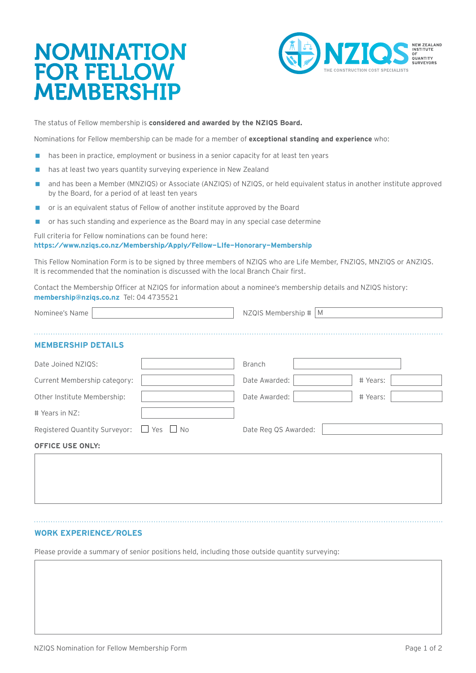# NOMINATION FOR FELLOW MEMBERSHIP



The status of Fellow membership is **considered and awarded by the NZIQS Board.**

Nominations for Fellow membership can be made for a member of **exceptional standing and experience** who:

- **has been in practice, employment or business in a senior capacity for at least ten years**
- has at least two years quantity surveying experience in New Zealand
- and has been a Member (MNZIQS) or Associate (ANZIQS) of NZIQS, or held equivalent status in another institute approved by the Board, for a period of at least ten years
- or is an equivalent status of Fellow of another institute approved by the Board
- **n** or has such standing and experience as the Board may in any special case determine

#### Full criteria for Fellow nominations can be found here: **<https://www.nziqs.co.nz/Membership/Apply/Fellow-LIfe-Honorary-Membership>**

This Fellow Nomination Form is to be signed by three members of NZIQS who are Life Member, FNZIQS, MNZIQS or ANZIQS. It is recommended that the nomination is discussed with the local Branch Chair first.

Contact the Membership Officer at NZIQS for information about a nominee's membership details and NZIQS history: **[membership@nziqs.co.nz](mailto:membership%40nziqs.co.nz?subject=)** Tel: 04 4735521

| Nominee's Name                                     |  | NZQIS Membership #<br>M |          |  |  |
|----------------------------------------------------|--|-------------------------|----------|--|--|
| <b>MEMBERSHIP DETAILS</b>                          |  |                         |          |  |  |
|                                                    |  |                         |          |  |  |
| Date Joined NZIQS:                                 |  | <b>Branch</b>           |          |  |  |
| Current Membership category:                       |  | Date Awarded:           | # Years: |  |  |
| Other Institute Membership:                        |  | Date Awarded:           | # Years: |  |  |
| # Years in NZ:                                     |  |                         |          |  |  |
| Registered Quantity Surveyor: $\Box$ Yes $\Box$ No |  | Date Reg QS Awarded:    |          |  |  |
| <b>OFFICE USE ONLY:</b>                            |  |                         |          |  |  |
|                                                    |  |                         |          |  |  |
|                                                    |  |                         |          |  |  |

### **WORK EXPERIENCE/ROLES**

Please provide a summary of senior positions held, including those outside quantity surveying: